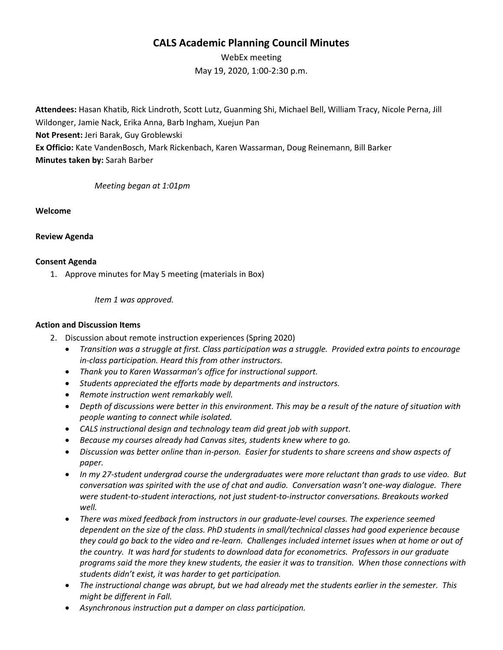## **CALS Academic Planning Council Minutes**

WebEx meeting May 19, 2020, 1:00-2:30 p.m.

**Attendees:** Hasan Khatib, Rick Lindroth, Scott Lutz, Guanming Shi, Michael Bell, William Tracy, Nicole Perna, Jill Wildonger, Jamie Nack, Erika Anna, Barb Ingham, Xuejun Pan **Not Present:** Jeri Barak, Guy Groblewski **Ex Officio:** Kate VandenBosch, Mark Rickenbach, Karen Wassarman, Doug Reinemann, Bill Barker **Minutes taken by:** Sarah Barber

*Meeting began at 1:01pm*

**Welcome**

**Review Agenda**

## **Consent Agenda**

1. Approve minutes for May 5 meeting (materials in Box)

*Item 1 was approved.*

## **Action and Discussion Items**

- 2. Discussion about remote instruction experiences (Spring 2020)
	- *Transition was a struggle at first. Class participation was a struggle. Provided extra points to encourage in-class participation. Heard this from other instructors.*
	- *Thank you to Karen Wassarman's office for instructional support.*
	- *Students appreciated the efforts made by departments and instructors.*
	- *Remote instruction went remarkably well.*
	- *Depth of discussions were better in this environment. This may be a result of the nature of situation with people wanting to connect while isolated.*
	- *CALS instructional design and technology team did great job with support*.
	- *Because my courses already had Canvas sites, students knew where to go.*
	- *Discussion was better online than in-person. Easier for students to share screens and show aspects of paper.*
	- *In my 27-student undergrad course the undergraduates were more reluctant than grads to use video. But conversation was spirited with the use of chat and audio. Conversation wasn't one-way dialogue. There were student-to-student interactions, not just student-to-instructor conversations. Breakouts worked well.*
	- *There was mixed feedback from instructors in our graduate-level courses. The experience seemed dependent on the size of the class. PhD students in small/technical classes had good experience because they could go back to the video and re-learn. Challenges included internet issues when at home or out of the country. It was hard for students to download data for econometrics. Professors in our graduate programs said the more they knew students, the easier it was to transition. When those connections with students didn't exist, it was harder to get participation.*
	- *The instructional change was abrupt, but we had already met the students earlier in the semester. This might be different in Fall.*
	- *Asynchronous instruction put a damper on class participation.*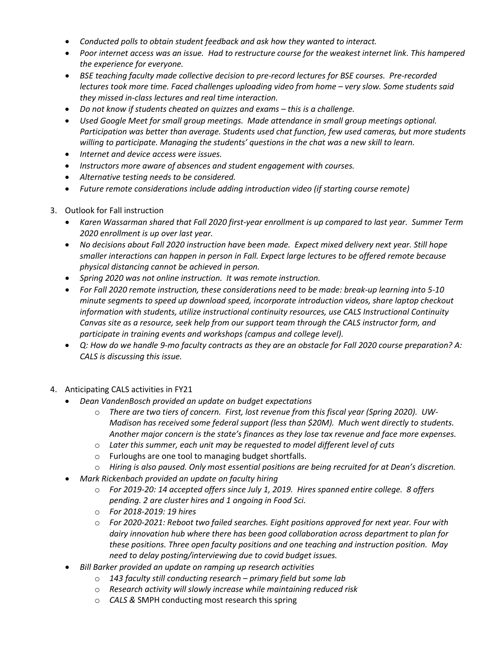- *Conducted polls to obtain student feedback and ask how they wanted to interact.*
- *Poor internet access was an issue. Had to restructure course for the weakest internet link. This hampered the experience for everyone.*
- *BSE teaching faculty made collective decision to pre-record lectures for BSE courses. Pre-recorded lectures took more time. Faced challenges uploading video from home – very slow. Some students said they missed in-class lectures and real time interaction.*
- *Do not know if students cheated on quizzes and exams – this is a challenge.*
- *Used Google Meet for small group meetings. Made attendance in small group meetings optional. Participation was better than average. Students used chat function, few used cameras, but more students willing to participate. Managing the students' questions in the chat was a new skill to learn.*
- *Internet and device access were issues.*
- *Instructors more aware of absences and student engagement with courses.*
- *Alternative testing needs to be considered.*
- *Future remote considerations include adding introduction video (if starting course remote)*
- 3. Outlook for Fall instruction
	- *Karen Wassarman shared that Fall 2020 first-year enrollment is up compared to last year. Summer Term 2020 enrollment is up over last year.*
	- *No decisions about Fall 2020 instruction have been made. Expect mixed delivery next year. Still hope smaller interactions can happen in person in Fall. Expect large lectures to be offered remote because physical distancing cannot be achieved in person.*
	- *Spring 2020 was not online instruction. It was remote instruction.*
	- *For Fall 2020 remote instruction, these considerations need to be made: break-up learning into 5-10 minute segments to speed up download speed, incorporate introduction videos, share laptop checkout information with students, utilize instructional continuity resources, use CALS Instructional Continuity Canvas site as a resource, seek help from our support team through the CALS instructor form, and participate in training events and workshops (campus and college level).*
	- *Q: How do we handle 9-mo faculty contracts as they are an obstacle for Fall 2020 course preparation? A: CALS is discussing this issue.*
- 4. Anticipating CALS activities in FY21
	- *Dean VandenBosch provided an update on budget expectations*
		- o *There are two tiers of concern. First, lost revenue from this fiscal year (Spring 2020). UW-Madison has received some federal support (less than \$20M). Much went directly to students. Another major concern is the state's finances as they lose tax revenue and face more expenses.*
		- o *Later this summer, each unit may be requested to model different level of cuts*
		- o Furloughs are one tool to managing budget shortfalls.
		- o *Hiring is also paused. Only most essential positions are being recruited for at Dean's discretion.*
	- *Mark Rickenbach provided an update on faculty hiring*
		- o *For 2019-20: 14 accepted offers since July 1, 2019. Hires spanned entire college. 8 offers pending. 2 are cluster hires and 1 ongoing in Food Sci.*
		- o *For 2018-2019: 19 hires*
		- o *For 2020-2021: Reboot two failed searches. Eight positions approved for next year. Four with dairy innovation hub where there has been good collaboration across department to plan for these positions. Three open faculty positions and one teaching and instruction position. May need to delay posting/interviewing due to covid budget issues.*
	- *Bill Barker provided an update on ramping up research activities*
		- o *143 faculty still conducting research – primary field but some lab*
		- o *Research activity will slowly increase while maintaining reduced risk*
		- o *CALS &* SMPH conducting most research this spring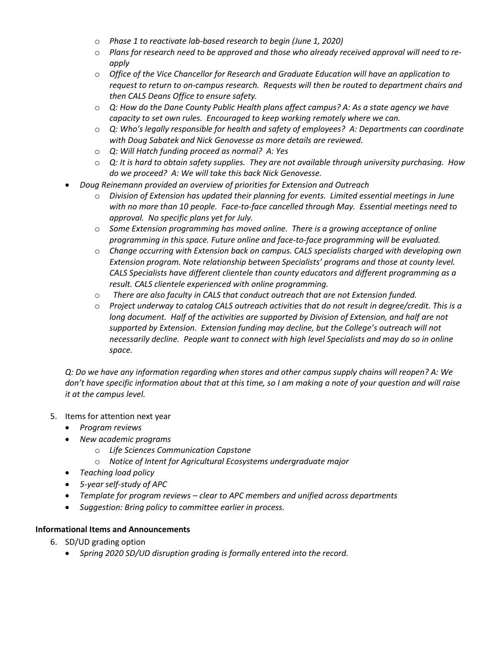- o *Phase 1 to reactivate lab-based research to begin (June 1, 2020)*
- o *Plans for research need to be approved and those who already received approval will need to reapply*
- o *Office of the Vice Chancellor for Research and Graduate Education will have an application to request to return to on-campus research. Requests will then be routed to department chairs and then CALS Deans Office to ensure safety.*
- o *Q: How do the Dane County Public Health plans affect campus? A: As a state agency we have capacity to set own rules. Encouraged to keep working remotely where we can.*
- o *Q: Who's legally responsible for health and safety of employees? A: Departments can coordinate with Doug Sabatek and Nick Genovesse as more details are reviewed.*
- o *Q: Will Hatch funding proceed as normal? A: Yes*
- o *Q: It is hard to obtain safety supplies. They are not available through university purchasing. How do we proceed? A: We will take this back Nick Genovesse.*
- *Doug Reinemann provided an overview of priorities for Extension and Outreach*
	- o *Division of Extension has updated their planning for events. Limited essential meetings in June with no more than 10 people. Face-to-face cancelled through May. Essential meetings need to approval. No specific plans yet for July.*
	- o *Some Extension programming has moved online. There is a growing acceptance of online programming in this space. Future online and face-to-face programming will be evaluated.*
	- o *Change occurring with Extension back on campus. CALS specialists charged with developing own Extension program. Note relationship between Specialists' programs and those at county level. CALS Specialists have different clientele than county educators and different programming as a result. CALS clientele experienced with online programming.*
	- o *There are also faculty in CALS that conduct outreach that are not Extension funded.*
	- o *Project underway to catalog CALS outreach activities that do not result in degree/credit. This is a long document. Half of the activities are supported by Division of Extension, and half are not supported by Extension. Extension funding may decline, but the College's outreach will not necessarily decline. People want to connect with high level Specialists and may do so in online space.*

*Q: Do we have any information regarding when stores and other campus supply chains will reopen? A: We don't have specific information about that at this time, so I am making a note of your question and will raise it at the campus level.*

- 5. Items for attention next year
	- *Program reviews*
	- *New academic programs*
		- o *Life Sciences Communication Capstone*
		- o *Notice of Intent for Agricultural Ecosystems undergraduate major*
	- *Teaching load policy*
	- *5-year self-study of APC*
	- *Template for program reviews – clear to APC members and unified across departments*
	- *Suggestion: Bring policy to committee earlier in process.*

## **Informational Items and Announcements**

- 6. SD/UD grading option
	- *Spring 2020 SD/UD disruption grading is formally entered into the record.*